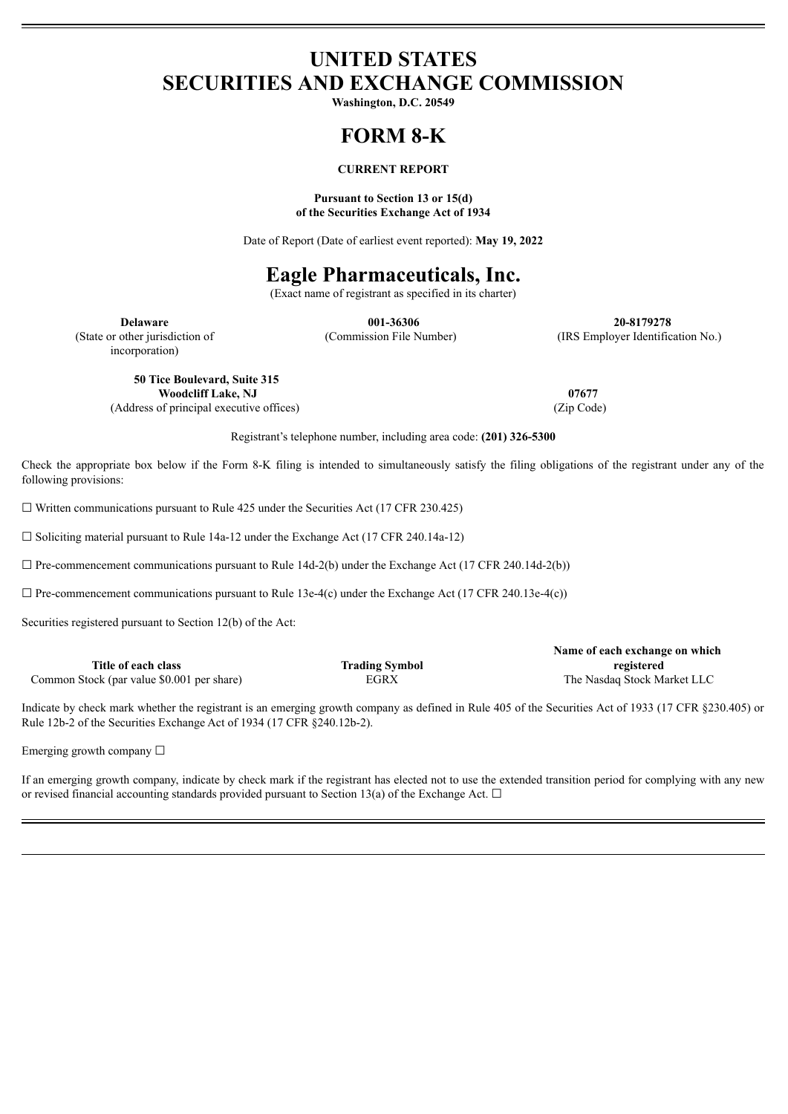## **UNITED STATES SECURITIES AND EXCHANGE COMMISSION**

**Washington, D.C. 20549**

# **FORM 8-K**

### **CURRENT REPORT**

#### **Pursuant to Section 13 or 15(d) of the Securities Exchange Act of 1934**

Date of Report (Date of earliest event reported): **May 19, 2022**

### **Eagle Pharmaceuticals, Inc.**

(Exact name of registrant as specified in its charter)

incorporation)

**Delaware 001-36306 20-8179278** (State or other jurisdiction of (Commission File Number) (IRS Employer Identification No.)

**50 Tice Boulevard, Suite 315 Woodcliff Lake, NJ 07677**

(Address of principal executive offices) (Zip Code)

Registrant's telephone number, including area code: **(201) 326-5300**

Check the appropriate box below if the Form 8-K filing is intended to simultaneously satisfy the filing obligations of the registrant under any of the following provisions:

 $\Box$  Written communications pursuant to Rule 425 under the Securities Act (17 CFR 230.425)

☐ Soliciting material pursuant to Rule 14a-12 under the Exchange Act (17 CFR 240.14a-12)

 $\Box$  Pre-commencement communications pursuant to Rule 14d-2(b) under the Exchange Act (17 CFR 240.14d-2(b))

 $\Box$  Pre-commencement communications pursuant to Rule 13e-4(c) under the Exchange Act (17 CFR 240.13e-4(c))

Securities registered pursuant to Section 12(b) of the Act:

|                                            |                       | Name of each exchange on which |
|--------------------------------------------|-----------------------|--------------------------------|
| Title of each class                        | <b>Trading Symbol</b> | registered                     |
| Common Stock (par value \$0.001 per share) | EGRX                  | The Nasdag Stock Market LLC    |

Indicate by check mark whether the registrant is an emerging growth company as defined in Rule 405 of the Securities Act of 1933 (17 CFR §230.405) or Rule 12b-2 of the Securities Exchange Act of 1934 (17 CFR §240.12b-2).

Emerging growth company ☐

If an emerging growth company, indicate by check mark if the registrant has elected not to use the extended transition period for complying with any new or revised financial accounting standards provided pursuant to Section 13(a) of the Exchange Act.  $\Box$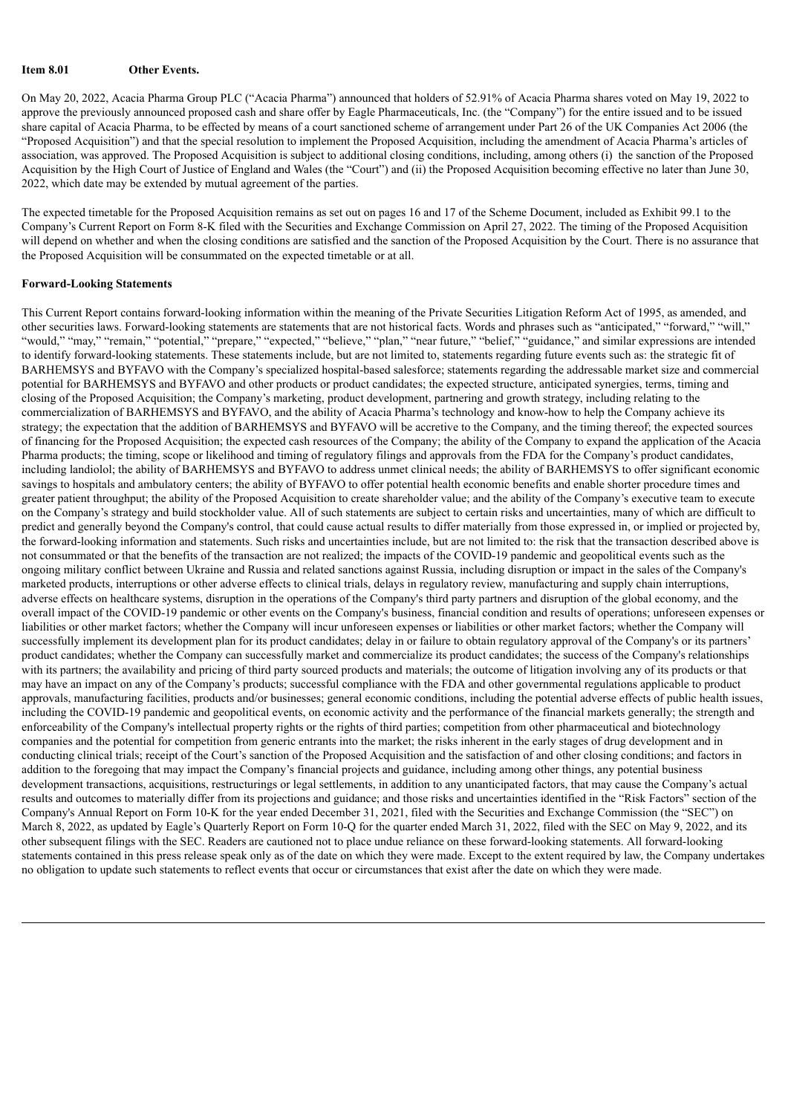### **Item 8.01 Other Events.**

On May 20, 2022, Acacia Pharma Group PLC ("Acacia Pharma") announced that holders of 52.91% of Acacia Pharma shares voted on May 19, 2022 to approve the previously announced proposed cash and share offer by Eagle Pharmaceuticals, Inc. (the "Company") for the entire issued and to be issued share capital of Acacia Pharma, to be effected by means of a court sanctioned scheme of arrangement under Part 26 of the UK Companies Act 2006 (the "Proposed Acquisition") and that the special resolution to implement the Proposed Acquisition, including the amendment of Acacia Pharma's articles of association, was approved. The Proposed Acquisition is subject to additional closing conditions, including, among others (i) the sanction of the Proposed Acquisition by the High Court of Justice of England and Wales (the "Court") and (ii) the Proposed Acquisition becoming effective no later than June 30, 2022, which date may be extended by mutual agreement of the parties.

The expected timetable for the Proposed Acquisition remains as set out on pages 16 and 17 of the Scheme Document, included as Exhibit 99.1 to the Company's Current Report on Form 8-K filed with the Securities and Exchange Commission on April 27, 2022. The timing of the Proposed Acquisition will depend on whether and when the closing conditions are satisfied and the sanction of the Proposed Acquisition by the Court. There is no assurance that the Proposed Acquisition will be consummated on the expected timetable or at all.

#### **Forward-Looking Statements**

This Current Report contains forward-looking information within the meaning of the Private Securities Litigation Reform Act of 1995, as amended, and other securities laws. Forward-looking statements are statements that are not historical facts. Words and phrases such as "anticipated," "forward," "will," "would," "may," "remain," "potential," "prepare," "expected," "believe," "plan," "near future," "belief," "guidance," and similar expressions are intended to identify forward-looking statements. These statements include, but are not limited to, statements regarding future events such as: the strategic fit of BARHEMSYS and BYFAVO with the Company's specialized hospital-based salesforce; statements regarding the addressable market size and commercial potential for BARHEMSYS and BYFAVO and other products or product candidates; the expected structure, anticipated synergies, terms, timing and closing of the Proposed Acquisition; the Company's marketing, product development, partnering and growth strategy, including relating to the commercialization of BARHEMSYS and BYFAVO, and the ability of Acacia Pharma's technology and know-how to help the Company achieve its strategy; the expectation that the addition of BARHEMSYS and BYFAVO will be accretive to the Company, and the timing thereof; the expected sources of financing for the Proposed Acquisition; the expected cash resources of the Company; the ability of the Company to expand the application of the Acacia Pharma products; the timing, scope or likelihood and timing of regulatory filings and approvals from the FDA for the Company's product candidates, including landiolol; the ability of BARHEMSYS and BYFAVO to address unmet clinical needs; the ability of BARHEMSYS to offer significant economic savings to hospitals and ambulatory centers; the ability of BYFAVO to offer potential health economic benefits and enable shorter procedure times and greater patient throughput; the ability of the Proposed Acquisition to create shareholder value; and the ability of the Company's executive team to execute on the Company's strategy and build stockholder value. All of such statements are subject to certain risks and uncertainties, many of which are difficult to predict and generally beyond the Company's control, that could cause actual results to differ materially from those expressed in, or implied or projected by, the forward-looking information and statements. Such risks and uncertainties include, but are not limited to: the risk that the transaction described above is not consummated or that the benefits of the transaction are not realized; the impacts of the COVID-19 pandemic and geopolitical events such as the ongoing military conflict between Ukraine and Russia and related sanctions against Russia, including disruption or impact in the sales of the Company's marketed products, interruptions or other adverse effects to clinical trials, delays in regulatory review, manufacturing and supply chain interruptions, adverse effects on healthcare systems, disruption in the operations of the Company's third party partners and disruption of the global economy, and the overall impact of the COVID-19 pandemic or other events on the Company's business, financial condition and results of operations; unforeseen expenses or liabilities or other market factors; whether the Company will incur unforeseen expenses or liabilities or other market factors; whether the Company will successfully implement its development plan for its product candidates; delay in or failure to obtain regulatory approval of the Company's or its partners' product candidates; whether the Company can successfully market and commercialize its product candidates; the success of the Company's relationships with its partners; the availability and pricing of third party sourced products and materials; the outcome of litigation involving any of its products or that may have an impact on any of the Company's products; successful compliance with the FDA and other governmental regulations applicable to product approvals, manufacturing facilities, products and/or businesses; general economic conditions, including the potential adverse effects of public health issues, including the COVID-19 pandemic and geopolitical events, on economic activity and the performance of the financial markets generally; the strength and enforceability of the Company's intellectual property rights or the rights of third parties; competition from other pharmaceutical and biotechnology companies and the potential for competition from generic entrants into the market; the risks inherent in the early stages of drug development and in conducting clinical trials; receipt of the Court's sanction of the Proposed Acquisition and the satisfaction of and other closing conditions; and factors in addition to the foregoing that may impact the Company's financial projects and guidance, including among other things, any potential business development transactions, acquisitions, restructurings or legal settlements, in addition to any unanticipated factors, that may cause the Company's actual results and outcomes to materially differ from its projections and guidance; and those risks and uncertainties identified in the "Risk Factors" section of the Company's Annual Report on Form 10-K for the year ended December 31, 2021, filed with the Securities and Exchange Commission (the "SEC") on March 8, 2022, as updated by Eagle's Quarterly Report on Form 10-Q for the quarter ended March 31, 2022, filed with the SEC on May 9, 2022, and its other subsequent filings with the SEC. Readers are cautioned not to place undue reliance on these forward-looking statements. All forward-looking statements contained in this press release speak only as of the date on which they were made. Except to the extent required by law, the Company undertakes no obligation to update such statements to reflect events that occur or circumstances that exist after the date on which they were made.